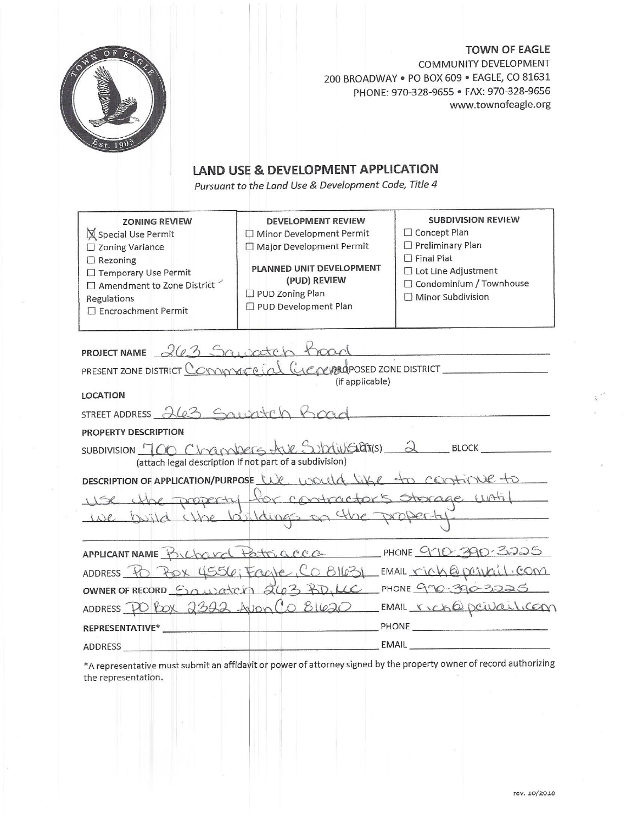

**TOWN OF EAGLE** COMMUNITY DEVELOPMENT 200 BROADWAY . PO BOX 609 . EAGLE, CO 81631 PHONE: 970-328-9655 · FAX: 970-328-9656 www.townofeagle.org

# **LAND USE & DEVELOPMENT APPLICATION**

Pursuant to the Land Use & Development Code, Title 4

| <b>ZONING REVIEW</b><br>Special Use Permit<br>$\square$ Zoning Variance<br>$\Box$ Rezoning<br>□ Temporary Use Permit<br>$\Box$ Amendment to Zone District<br>Regulations<br>□ Encroachment Permit | DEVELOPMENT REVIEW<br>□ Minor Development Permit<br>Major Development Permit<br>PLANNED UNIT DEVELOPMENT<br>(PUD) REVIEW<br>□ PUD Zoning Plan<br>PUD Development Plan | <b>SUBDIVISION REVIEW</b><br>□ Concept Plan<br>$\Box$ Preliminary Plan<br>$\Box$ Final Plat<br>□ Lot Line Adjustment<br>□ Condominium / Townhouse<br>$\Box$ Minor Subdivision |
|---------------------------------------------------------------------------------------------------------------------------------------------------------------------------------------------------|-----------------------------------------------------------------------------------------------------------------------------------------------------------------------|-------------------------------------------------------------------------------------------------------------------------------------------------------------------------------|
|                                                                                                                                                                                                   | PROJECT NAME 263 Squaretch toad                                                                                                                                       |                                                                                                                                                                               |
|                                                                                                                                                                                                   | PRESENT ZONE DISTRICT COMMAKE CIAL GENERAPOSED ZONE DISTRICT                                                                                                          |                                                                                                                                                                               |
| <b>LOCATION</b>                                                                                                                                                                                   | (if applicable)                                                                                                                                                       |                                                                                                                                                                               |
| STREET ADDRESS 263 Squatch Boad                                                                                                                                                                   |                                                                                                                                                                       |                                                                                                                                                                               |
| PROPERTY DESCRIPTION                                                                                                                                                                              |                                                                                                                                                                       |                                                                                                                                                                               |
|                                                                                                                                                                                                   | SUBDIVISION 700 Chambers the Subdivisions 2 BLOCK                                                                                                                     |                                                                                                                                                                               |
|                                                                                                                                                                                                   | (attach legal description if not part of a subdivision)                                                                                                               |                                                                                                                                                                               |
|                                                                                                                                                                                                   | DESCRIPTION OF APPLICATION/PURPOSE We would like to continue to                                                                                                       |                                                                                                                                                                               |
|                                                                                                                                                                                                   | use the property for contractors storage with                                                                                                                         |                                                                                                                                                                               |
|                                                                                                                                                                                                   | we build close buildings on the property                                                                                                                              |                                                                                                                                                                               |
|                                                                                                                                                                                                   |                                                                                                                                                                       |                                                                                                                                                                               |
|                                                                                                                                                                                                   | APPLICANT NAME Prichard Patriciacca PHONE 970-390-3225                                                                                                                |                                                                                                                                                                               |
|                                                                                                                                                                                                   | ADDRESS PO POX 4556; FOOTE, CO 81631 EMAIL rich@posibil.com                                                                                                           |                                                                                                                                                                               |
|                                                                                                                                                                                                   | OWNER OF RECORD SQUATCH 263 RD, LC PHONE GMO-390-3225                                                                                                                 |                                                                                                                                                                               |
|                                                                                                                                                                                                   |                                                                                                                                                                       | ADDRESS PO POX 2322 Jum Co 81620 EMAIL rich@peivail.com                                                                                                                       |
| REPRESENTATIVE*                                                                                                                                                                                   |                                                                                                                                                                       |                                                                                                                                                                               |
| ADDRESS                                                                                                                                                                                           |                                                                                                                                                                       |                                                                                                                                                                               |
|                                                                                                                                                                                                   |                                                                                                                                                                       |                                                                                                                                                                               |

\*A representative must submit an affidavit or power of attorney signed by the property owner of record authorizing the representation.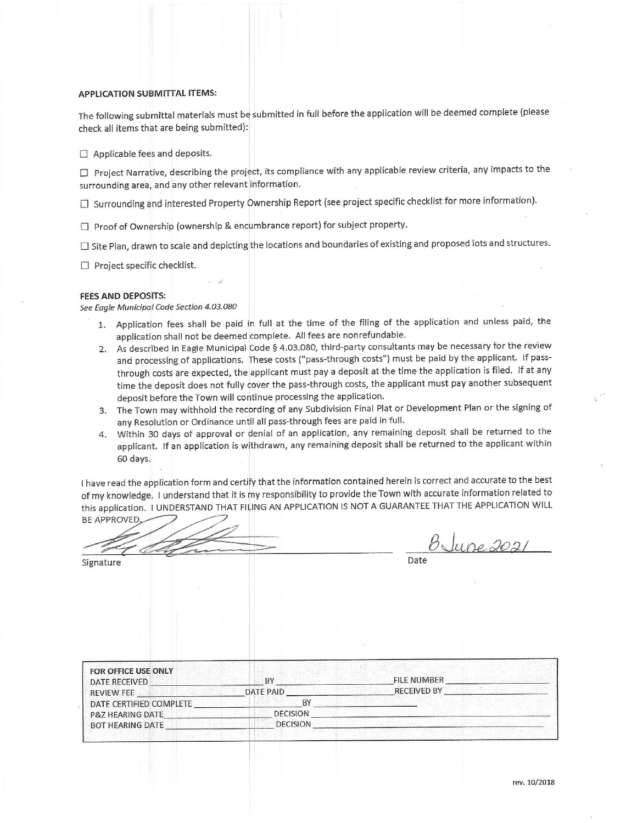### **APPLICATION SUBMITTAL ITEMS:**

The following submittal materials must be submitted in full before the application will be deemed complete (please check all items that are being submitted):

 $\Box$  Applicable fees and deposits.

□ Project Narrative, describing the project, its compliance with any applicable review criteria, any impacts to the surrounding area, and any other relevant information.

□ Surrounding and interested Property Ownership Report (see project specific checklist for more information).

□ Proof of Ownership (ownership & encumbrance report) for subject property.

□ Site Plan, drawn to scale and depicting the locations and boundaries of existing and proposed lots and structures.

 $\Box$  Project specific checklist.

#### **FEES AND DEPOSITS:**

See Eagle Municipal Code Section 4.03.080

- 1. Application fees shall be paid in full at the time of the filing of the application and unless paid, the application shall not be deemed complete. All fees are nonrefundable.
- 2. As described in Eagle Municipal Code § 4.03.080, third-party consultants may be necessary for the review and processing of applications. These costs ("pass-through costs") must be paid by the applicant. If passthrough costs are expected, the applicant must pay a deposit at the time the application is filed. If at any time the deposit does not fully cover the pass-through costs, the applicant must pay another subsequent deposit before the Town will continue processing the application.
- 3. The Town may withhold the recording of any Subdivision Final Plat or Development Plan or the signing of any Resolution or Ordinance until all pass-through fees are paid in full.
- 4. Within 30 days of approval or denial of an application, any remaining deposit shall be returned to the applicant. If an application is withdrawn, any remaining deposit shall be returned to the applicant within 60 days.

I have read the application form and certify that the information contained herein is correct and accurate to the best of my knowledge. I understand that it is my responsibility to provide the Town with accurate information related to this application. I UNDERSTAND THAT FILING AN APPLICATION IS NOT A GUARANTEE THAT THE APPLICATION WILL **BE APPROVED** 

<u>BJune 2021</u>

Signature

Date

| FOR OFFICE USE ONLY<br>DATE RECEIVED | <b>BY</b>       | FILE NUMBER        |
|--------------------------------------|-----------------|--------------------|
| <b>REVIEW FEE</b>                    | DATE PAID       | <b>RECEIVED BY</b> |
| DATE CERTIFIED COMPLETE              | BY              |                    |
| <b>P&amp;Z HEARING DATE</b>          | <b>DECISION</b> |                    |
| <b>BOT HEARING DATE</b>              | <b>DECISION</b> |                    |